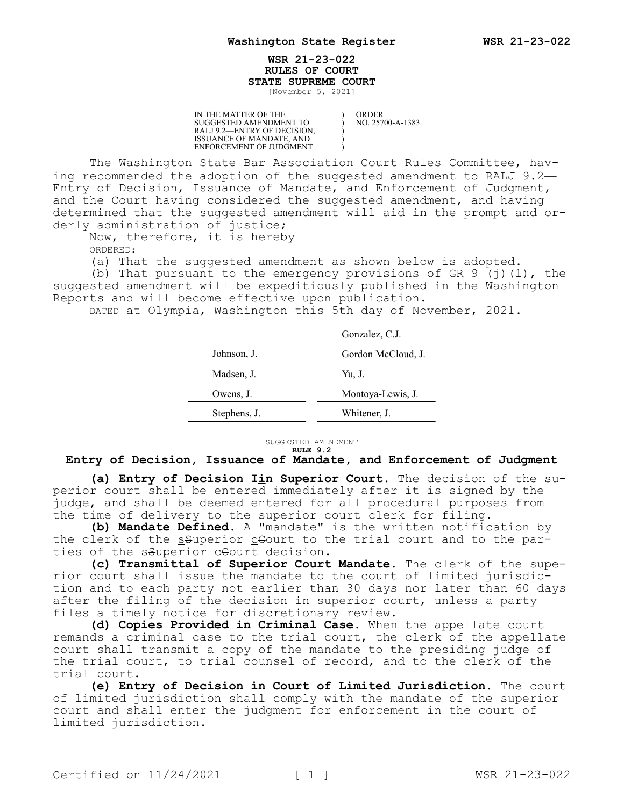## **WSR 21-23-022 RULES OF COURT STATE SUPREME COURT**

) ) ) ) )

[November 5, 2021]

IN THE MATTER OF THE SUGGESTED AMENDMENT TO RALJ 9.2—ENTRY OF DECISION, ISSUANCE OF MANDATE, AND ENFORCEMENT OF JUDGMENT

ORDER NO. 25700-A-1383

The Washington State Bar Association Court Rules Committee, having recommended the adoption of the suggested amendment to RALJ 9.2— Entry of Decision, Issuance of Mandate, and Enforcement of Judgment, and the Court having considered the suggested amendment, and having determined that the suggested amendment will aid in the prompt and orderly administration of justice;

Now, therefore, it is hereby

ORDERED:

(a) That the suggested amendment as shown below is adopted.

(b) That pursuant to the emergency provisions of GR  $9$  (j)(1), the suggested amendment will be expeditiously published in the Washington Reports and will become effective upon publication.

DATED at Olympia, Washington this 5th day of November, 2021.

|              | Gonzalez, C.J.     |
|--------------|--------------------|
| Johnson, J.  | Gordon McCloud, J. |
| Madsen, J.   | Yu, J.             |
| Owens, J.    | Montoya-Lewis, J.  |
| Stephens, J. | Whitener, J.       |

SUGGESTED AMENDMENT **RULE 9.2**

## **Entry of Decision, Issuance of Mandate, and Enforcement of Judgment**

**(a) Entry of Decision Iin Superior Court.** The decision of the superior court shall be entered immediately after it is signed by the judge, and shall be deemed entered for all procedural purposes from the time of delivery to the superior court clerk for filing.

**(b) Mandate Defined.** A "mandate" is the written notification by the clerk of the ssuperior ceourt to the trial court and to the parties of the ssuperior ceourt decision.

**(c) Transmittal of Superior Court Mandate.** The clerk of the superior court shall issue the mandate to the court of limited jurisdiction and to each party not earlier than 30 days nor later than 60 days after the filing of the decision in superior court, unless a party files a timely notice for discretionary review.

**(d) Copies Provided in Criminal Case.** When the appellate court remands a criminal case to the trial court, the clerk of the appellate court shall transmit a copy of the mandate to the presiding judge of the trial court, to trial counsel of record, and to the clerk of the trial court.

**(e) Entry of Decision in Court of Limited Jurisdiction.** The court of limited jurisdiction shall comply with the mandate of the superior court and shall enter the judgment for enforcement in the court of limited jurisdiction.